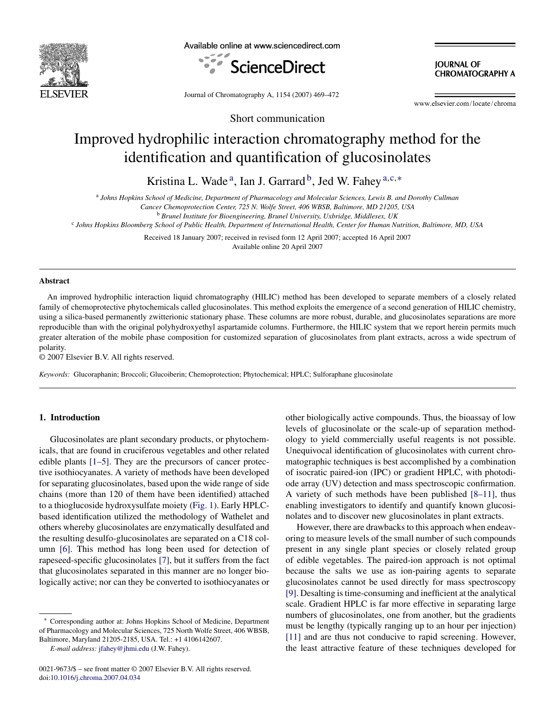

Available online at www.sciencedirect.com



**JOURNAL OF CHROMATOGRAPHY A** 

Journal of Chromatography A, 1154 (2007) 469–472

www.elsevier.com/locate/chroma

# Short communication

# Improved hydrophilic interaction chromatography method for the identification and quantification of glucosinolates

Kristina L. Wade<sup>a</sup>, Ian J. Garrard<sup>b</sup>, Jed W. Fahey<sup>a,c,\*</sup>

<sup>a</sup> *Johns Hopkins School of Medicine, Department of Pharmacology and Molecular Sciences, Lewis B. and Dorothy Cullman*

*Cancer Chemoprotection Center, 725 N. Wolfe Street, 406 WBSB, Baltimore, MD 21205, USA*

<sup>b</sup> *Brunel Institute for Bioengineering, Brunel University, Uxbridge, Middlesex, UK*

<sup>c</sup> *Johns Hopkins Bloomberg School of Public Health, Department of International Health, Center for Human Nutrition, Baltimore, MD, USA*

Received 18 January 2007; received in revised form 12 April 2007; accepted 16 April 2007 Available online 20 April 2007

#### **Abstract**

An improved hydrophilic interaction liquid chromatography (HILIC) method has been developed to separate members of a closely related family of chemoprotective phytochemicals called glucosinolates. This method exploits the emergence of a second generation of HILIC chemistry, using a silica-based permanently zwitterionic stationary phase. These columns are more robust, durable, and glucosinolates separations are more reproducible than with the original polyhydroxyethyl aspartamide columns. Furthermore, the HILIC system that we report herein permits much greater alteration of the mobile phase composition for customized separation of glucosinolates from plant extracts, across a wide spectrum of polarity.

© 2007 Elsevier B.V. All rights reserved.

*Keywords:* Glucoraphanin; Broccoli; Glucoiberin; Chemoprotection; Phytochemical; HPLC; Sulforaphane glucosinolate

# **1. Introduction**

Glucosinolates are plant secondary products, or phytochemicals, that are found in cruciferous vegetables and other related edible plants [\[1–5\].](#page-2-0) They are the precursors of cancer protective isothiocyanates. A variety of methods have been developed for separating glucosinolates, based upon the wide range of side chains (more than 120 of them have been identified) attached to a thioglucoside hydroxysulfate moiety [\(Fig. 1\).](#page-1-0) Early HPLCbased identification utilized the methodology of Wathelet and others whereby glucosinolates are enzymatically desulfated and the resulting desulfo-glucosinolates are separated on a C18 column [\[6\].](#page-2-0) This method has long been used for detection of rapeseed-specific glucosinolates [\[7\], b](#page-2-0)ut it suffers from the fact that glucosinolates separated in this manner are no longer biologically active; nor can they be converted to isothiocyanates or

other biologically active compounds. Thus, the bioassay of low levels of glucosinolate or the scale-up of separation methodology to yield commercially useful reagents is not possible. Unequivocal identification of glucosinolates with current chromatographic techniques is best accomplished by a combination of isocratic paired-ion (IPC) or gradient HPLC, with photodiode array (UV) detection and mass spectroscopic confirmation. A variety of such methods have been published [\[8–11\],](#page-2-0) thus enabling investigators to identify and quantify known glucosinolates and to discover new glucosinolates in plant extracts.

However, there are drawbacks to this approach when endeavoring to measure levels of the small number of such compounds present in any single plant species or closely related group of edible vegetables. The paired-ion approach is not optimal because the salts we use as ion-pairing agents to separate glucosinolates cannot be used directly for mass spectroscopy [\[9\]. D](#page-2-0)esalting is time-consuming and inefficient at the analytical scale. Gradient HPLC is far more effective in separating large numbers of glucosinolates, one from another, but the gradients must be lengthy (typically ranging up to an hour per injection) [\[11\]](#page-2-0) and are thus not conducive to rapid screening. However, the least attractive feature of these techniques developed for

<sup>∗</sup> Corresponding author at: Johns Hopkins School of Medicine, Department of Pharmacology and Molecular Sciences, 725 North Wolfe Street, 406 WBSB, Baltimore, Maryland 21205-2185, USA. Tel.: +1 4106142607.

*E-mail address:* [jfahey@jhmi.edu](mailto:jfahey@jhmi.edu) (J.W. Fahey).

<sup>0021-9673/\$ –</sup> see front matter © 2007 Elsevier B.V. All rights reserved. doi[:10.1016/j.chroma.2007.04.034](dx.doi.org/10.1016/j.chroma.2007.04.034)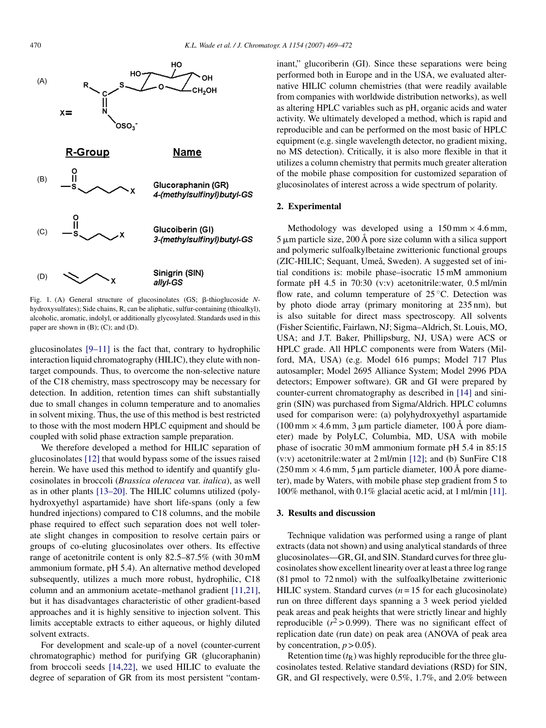<span id="page-1-0"></span>

Fig. 1. (A) General structure of glucosinolates (GS; β-thioglucoside Nhydroxysulfates); Side chains, R, can be aliphatic, sulfur-containing (thioalkyl), alcoholic, aromatic, indolyl, or additionally glycosylated. Standards used in this paper are shown in  $(B)$ ;  $(C)$ ; and  $(D)$ .

glucosinolates [\[9–11\]](#page-2-0) is the fact that, contrary to hydrophilic interaction liquid chromatography (HILIC), they elute with nontarget compounds. Thus, to overcome the non-selective nature of the C18 chemistry, mass spectroscopy may be necessary for detection. In addition, retention times can shift substantially due to small changes in column temperature and to anomalies in solvent mixing. Thus, the use of this method is best restricted to those with the most modern HPLC equipment and should be coupled with solid phase extraction sample preparation.

We therefore developed a method for HILIC separation of glucosinolates [\[12\]](#page-3-0) that would bypass some of the issues raised herein. We have used this method to identify and quantify glucosinolates in broccoli (*Brassica oleracea* var. *italica*), as well as in other plants [\[13–20\]. T](#page-3-0)he HILIC columns utilized (polyhydroxyethyl aspartamide) have short life-spans (only a few hundred injections) compared to C18 columns, and the mobile phase required to effect such separation does not well tolerate slight changes in composition to resolve certain pairs or groups of co-eluting glucosinolates over others. Its effective range of acetonitrile content is only 82.5–87.5% (with 30 mM ammonium formate, pH 5.4). An alternative method developed subsequently, utilizes a much more robust, hydrophilic, C18 column and an ammonium acetate–methanol gradient [\[11,21\],](#page-2-0) but it has disadvantages characteristic of other gradient-based approaches and it is highly sensitive to injection solvent. This limits acceptable extracts to either aqueous, or highly diluted solvent extracts.

For development and scale-up of a novel (counter-current chromatographic) method for purifying GR (glucoraphanin) from broccoli seeds [\[14,22\],](#page-3-0) we used HILIC to evaluate the degree of separation of GR from its most persistent "contaminant," glucoriberin (GI). Since these separations were being performed both in Europe and in the USA, we evaluated alternative HILIC column chemistries (that were readily available from companies with worldwide distribution networks), as well as altering HPLC variables such as pH, organic acids and water activity. We ultimately developed a method, which is rapid and reproducible and can be performed on the most basic of HPLC equipment (e.g. single wavelength detector, no gradient mixing, no MS detection). Critically, it is also more flexible in that it utilizes a column chemistry that permits much greater alteration of the mobile phase composition for customized separation of glucosinolates of interest across a wide spectrum of polarity.

### **2. Experimental**

Methodology was developed using a  $150 \text{ mm} \times 4.6 \text{ mm}$ ,  $5 \mu m$  particle size, 200 Å pore size column with a silica support and polymeric sulfoalkylbetaine zwitterionic functional groups (ZIC-HILIC; Sequant, Umeå, Sweden). A suggested set of initial conditions is: mobile phase–isocratic 15 mM ammonium formate pH 4.5 in 70:30 (v:v) acetonitrile:water, 0.5 ml/min flow rate, and column temperature of 25 °C. Detection was by photo diode array (primary monitoring at 235 nm), but is also suitable for direct mass spectroscopy. All solvents (Fisher Scientific, Fairlawn, NJ; Sigma–Aldrich, St. Louis, MO, USA; and J.T. Baker, Phillipsburg, NJ, USA) were ACS or HPLC grade. All HPLC components were from Waters (Milford, MA, USA) (e.g. Model 616 pumps; Model 717 Plus autosampler; Model 2695 Alliance System; Model 2996 PDA detectors; Empower software). GR and GI were prepared by counter-current chromatography as described in [\[14\]](#page-3-0) and sinigrin (SIN) was purchased from Sigma/Aldrich. HPLC columns used for comparison were: (a) polyhydroxyethyl aspartamide (100 mm  $\times$  4.6 mm, 3 µm particle diameter, 100 Å pore diameter) made by PolyLC, Columbia, MD, USA with mobile phase of isocratic 30 mM ammonium formate pH 5.4 in 85:15 (v:v) acetonitrile:water at 2 ml/min [\[12\];](#page-3-0) and (b) SunFire C18  $(250 \text{ mm} \times 4.6 \text{ mm}, 5 \mu \text{m}$  particle diameter, 100 Å pore diameter), made by Waters, with mobile phase step gradient from 5 to 100% methanol, with 0.1% glacial acetic acid, at 1 ml/min [\[11\].](#page-2-0)

#### **3. Results and discussion**

Technique validation was performed using a range of plant extracts (data not shown) and using analytical standards of three glucosinolates—GR, GI, and SIN. Standard curves for three glucosinolates show excellent linearity over at least a three log range (81 pmol to 72 nmol) with the sulfoalkylbetaine zwitterionic HILIC system. Standard curves  $(n = 15$  for each glucosinolate) run on three different days spanning a 3 week period yielded peak areas and peak heights that were strictly linear and highly reproducible  $(r^2 > 0.999)$ . There was no significant effect of replication date (run date) on peak area (ANOVA of peak area by concentration,  $p > 0.05$ ).

Retention time  $(t_R)$  was highly reproducible for the three glucosinolates tested. Relative standard deviations (RSD) for SIN, GR, and GI respectively, were 0.5%, 1.7%, and 2.0% between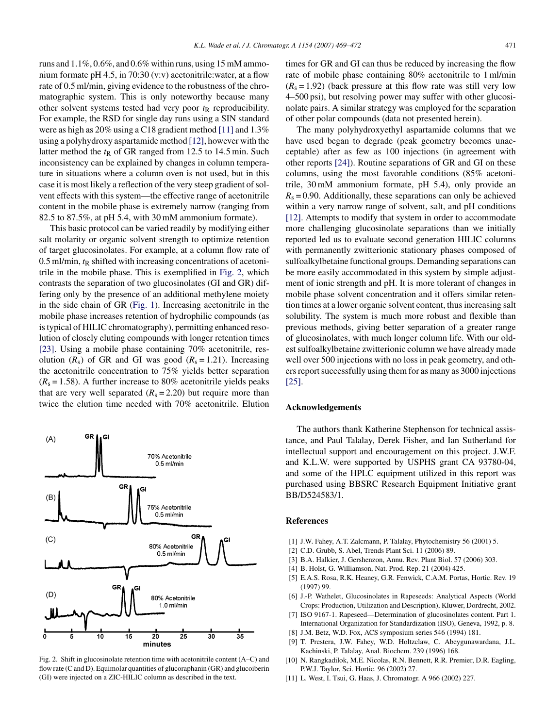<span id="page-2-0"></span>runs and 1.1%, 0.6%, and 0.6% within runs, using 15 mM ammonium formate pH 4.5, in 70:30 (v:v) acetonitrile:water, at a flow rate of 0.5 ml/min, giving evidence to the robustness of the chromatographic system. This is only noteworthy because many other solvent systems tested had very poor  $t<sub>R</sub>$  reproducibility. For example, the RSD for single day runs using a SIN standard were as high as 20% using a C18 gradient method [11] and 1.3% using a polyhydroxy aspartamide method [\[12\], h](#page-3-0)owever with the latter method the  $t<sub>R</sub>$  of GR ranged from 12.5 to 14.5 min. Such inconsistency can be explained by changes in column temperature in situations where a column oven is not used, but in this case it is most likely a reflection of the very steep gradient of solvent effects with this system—the effective range of acetonitrile content in the mobile phase is extremely narrow (ranging from 82.5 to 87.5%, at pH 5.4, with 30 mM ammonium formate).

This basic protocol can be varied readily by modifying either salt molarity or organic solvent strength to optimize retention of target glucosinolates. For example, at a column flow rate of  $0.5$  ml/min,  $t<sub>R</sub>$  shifted with increasing concentrations of acetonitrile in the mobile phase. This is exemplified in Fig. 2, which contrasts the separation of two glucosinolates (GI and GR) differing only by the presence of an additional methylene moiety in the side chain of GR ([Fig. 1\).](#page-1-0) Increasing acetonitrile in the mobile phase increases retention of hydrophilic compounds (as is typical of HILIC chromatography), permitting enhanced resolution of closely eluting compounds with longer retention times [\[23\].](#page-3-0) Using a mobile phase containing 70% acetonitrile, resolution  $(R_s)$  of GR and GI was good  $(R_s = 1.21)$ . Increasing the acetonitrile concentration to 75% yields better separation  $(R<sub>s</sub> = 1.58)$ . A further increase to 80% acetonitrile yields peaks that are very well separated  $(R_s = 2.20)$  but require more than twice the elution time needed with 70% acetonitrile. Elution



Fig. 2. Shift in glucosinolate retention time with acetonitrile content (A–C) and flow rate (C and D). Equimolar quantities of glucoraphanin (GR) and glucoiberin (GI) were injected on a ZIC-HILIC column as described in the text.

times for GR and GI can thus be reduced by increasing the flow rate of mobile phase containing 80% acetonitrile to 1 ml/min  $(R<sub>s</sub> = 1.92)$  (back pressure at this flow rate was still very low 4–500 psi), but resolving power may suffer with other glucosinolate pairs. A similar strategy was employed for the separation of other polar compounds (data not presented herein).

The many polyhydroxyethyl aspartamide columns that we have used began to degrade (peak geometry becomes unacceptable) after as few as 100 injections (in agreement with other reports [\[24\]\).](#page-3-0) Routine separations of GR and GI on these columns, using the most favorable conditions (85% acetonitrile, 30 mM ammonium formate, pH 5.4), only provide an  $R_s = 0.90$ . Additionally, these separations can only be achieved within a very narrow range of solvent, salt, and pH conditions [\[12\].](#page-3-0) Attempts to modify that system in order to accommodate more challenging glucosinolate separations than we initially reported led us to evaluate second generation HILIC columns with permanently zwitterionic stationary phases composed of sulfoalkylbetaine functional groups. Demanding separations can be more easily accommodated in this system by simple adjustment of ionic strength and pH. It is more tolerant of changes in mobile phase solvent concentration and it offers similar retention times at a lower organic solvent content, thus increasing salt solubility. The system is much more robust and flexible than previous methods, giving better separation of a greater range of glucosinolates, with much longer column life. With our oldest sulfoalkylbetaine zwitterionic column we have already made well over 500 injections with no loss in peak geometry, and others report successfully using them for as many as 3000 injections [\[25\].](#page-3-0)

# **Acknowledgements**

The authors thank Katherine Stephenson for technical assistance, and Paul Talalay, Derek Fisher, and Ian Sutherland for intellectual support and encouragement on this project. J.W.F. and K.L.W. were supported by USPHS grant CA 93780-04, and some of the HPLC equipment utilized in this report was purchased using BBSRC Research Equipment Initiative grant BB/D524583/1.

#### **References**

- [1] J.W. Fahey, A.T. Zalcmann, P. Talalay, Phytochemistry 56 (2001) 5.
- [2] C.D. Grubb, S. Abel, Trends Plant Sci. 11 (2006) 89.
- [3] B.A. Halkier, J. Gershenzon, Annu. Rev. Plant Biol. 57 (2006) 303.
- [4] B. Holst, G. Williamson, Nat. Prod. Rep. 21 (2004) 425.
- [5] E.A.S. Rosa, R.K. Heaney, G.R. Fenwick, C.A.M. Portas, Hortic. Rev. 19 (1997) 99.
- [6] J.-P. Wathelet, Glucosinolates in Rapeseeds: Analytical Aspects (World Crops: Production, Utilization and Description), Kluwer, Dordrecht, 2002.
- [7] ISO 9167-1. Rapeseed—Determination of glucosinolates content. Part 1. International Organization for Standardization (ISO), Geneva, 1992, p. 8.
- [8] J.M. Betz, W.D. Fox, ACS symposium series 546 (1994) 181.
- [9] T. Prestera, J.W. Fahey, W.D. Holtzclaw, C. Abeygunawardana, J.L. Kachinski, P. Talalay, Anal. Biochem. 239 (1996) 168.
- [10] N. Rangkadilok, M.E. Nicolas, R.N. Bennett, R.R. Premier, D.R. Eagling, P.W.J. Taylor, Sci. Hortic. 96 (2002) 27.
- [11] L. West, I. Tsui, G. Haas, J. Chromatogr. A 966 (2002) 227.